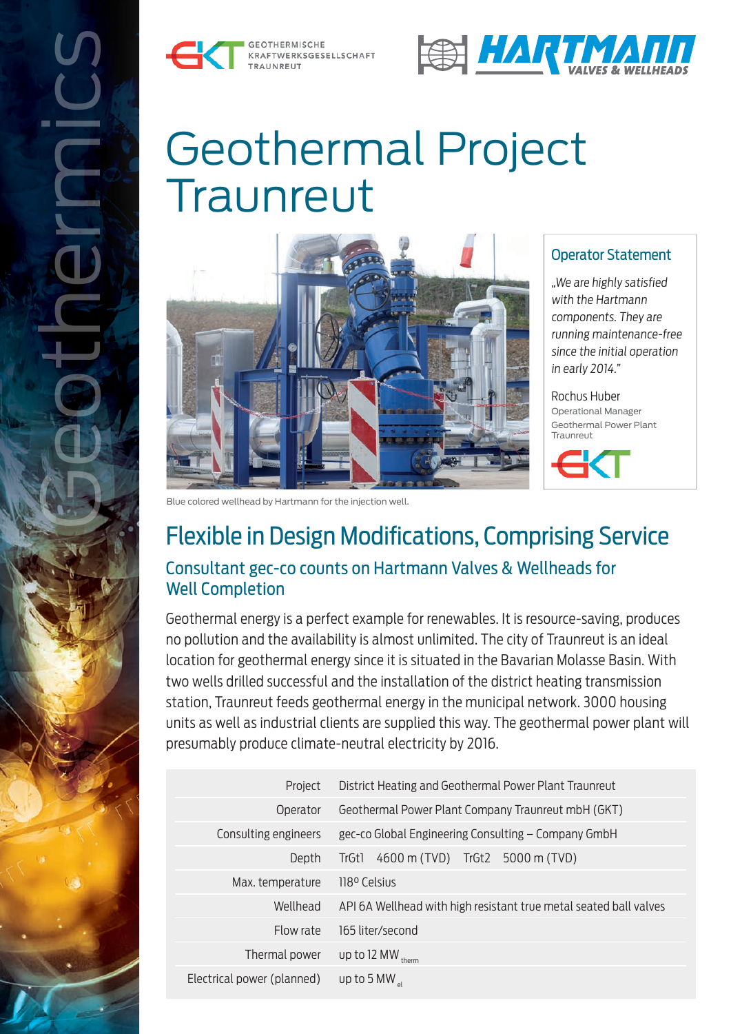





# Geothermal Project **Traunreut**



#### Operator Statement

"We are highly satisfied with the Hartmann components. They are running maintenance-free since the initial operation in early 2014."

Rochus Huber Operational Manager Geothermal Power Plant Traunreut



Blue colored wellhead by Hartmann for the injection well.

# Flexible in Design Modifications, Comprising Service Consultant gec-co counts on Hartmann Valves & Wellheads for Well Completion

Geothermal energy is a perfect example for renewables. It is resource-saving, produces no pollution and the availability is almost unlimited. The city of Traunreut is an ideal location for geothermal energy since it is situated in the Bavarian Molasse Basin. With two wells drilled successful and the installation of the district heating transmission station, Traunreut feeds geothermal energy in the municipal network. 3000 housing units as well as industrial clients are supplied this way. The geothermal power plant will presumably produce climate-neutral electricity by 2016.

| Project                    | District Heating and Geothermal Power Plant Traunreut             |
|----------------------------|-------------------------------------------------------------------|
| Operator                   | Geothermal Power Plant Company Traunreut mbH (GKT)                |
| Consulting engineers       | gec-co Global Engineering Consulting - Company GmbH               |
| Depth                      | 4600 m (TVD) TrGt2 5000 m (TVD)<br>TrGt1                          |
| Max. temperature           | 118º Celsius                                                      |
| Wellhead                   | API 6A Wellhead with high resistant true metal seated ball valves |
| Flow rate                  | 165 liter/second                                                  |
| Thermal power              | up to 12 MW therm                                                 |
| Electrical power (planned) | up to 5 MW $_{\circ}$                                             |